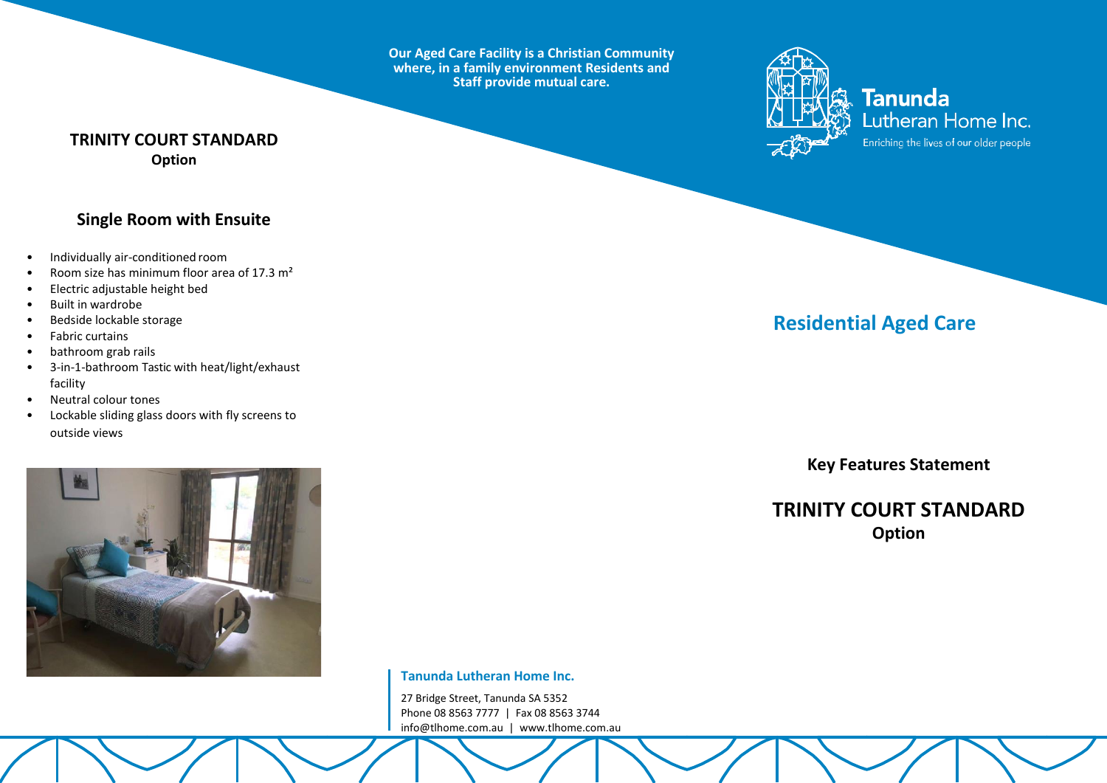**Our Aged Care Facility is a Christian Community where, in a family environment Residents and Staff provide mutual care.**



**Tanunda** Lutheran Home Inc. Enriching the lives of our older people

### **TRINITY COURT STANDARD Option**

### **Single Room with Ensuite**

- Individually air-conditioned room
- Room size has minimum floor area of 17.3 m²
- Electric adjustable height bed
- Built in wardrobe
- Bedside lockable storage
- Fabric curtains
- bathroom grab rails
- 3-in-1-bathroom Tastic with heat/light/exhaust facility
- Neutral colour tones
- Lockable sliding glass doors with fly screens to outside views



**Tanunda Lutheran Home Inc.**

27 Bridge Street, Tanunda SA 5352 Phone 08 8563 7777 | Fax 08 8563 3744 [info@tlhome.com.au](mailto:info@tlhome.com.au) | [www.tlhome.com.au](http://www.tlhome.com.au/)

# **Residential Aged Care**

**Key Features Statement**

## **TRINITY COURT STANDARD Option**